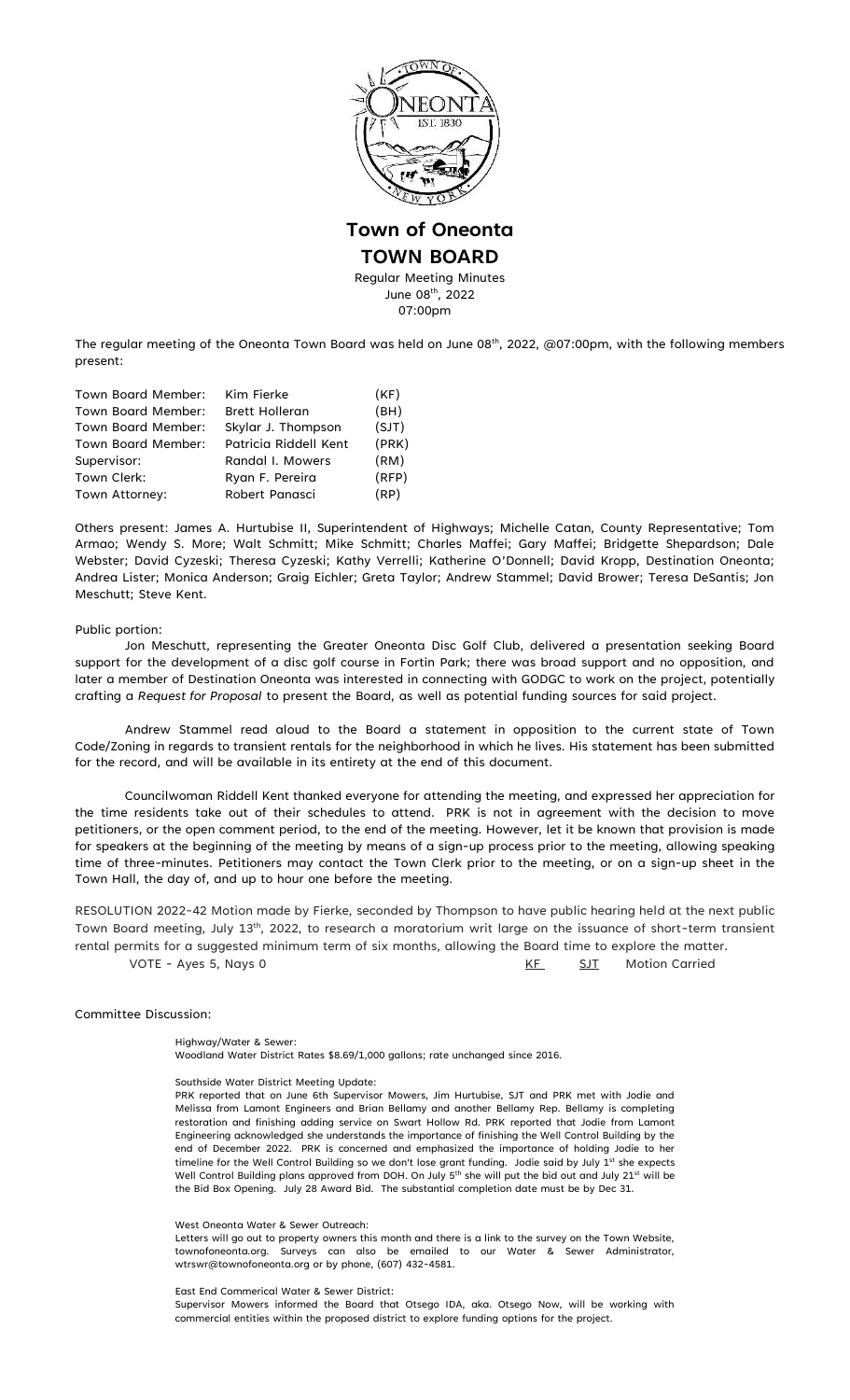

**Town of Oneonta**

# **TOWN BOARD**

Regular Meeting Minutes June 08th, 2022 07:00pm

The regular meeting of the Oneonta Town Board was held on June 08<sup>th</sup>, 2022, @07:00pm, with the following members present:

| Town Board Member: | Kim Fierke            | (KF)  |
|--------------------|-----------------------|-------|
| Town Board Member: | <b>Brett Holleran</b> | (BH)  |
| Town Board Member: | Skylar J. Thompson    | (SJT) |
| Town Board Member: | Patricia Riddell Kent | (PRK) |
| Supervisor:        | Randal I. Mowers      | (RM)  |
| Town Clerk:        | Ryan F. Pereira       | (RFP) |
| Town Attorney:     | Robert Panasci        | (RP)  |
|                    |                       |       |

Others present: James A. Hurtubise II, Superintendent of Highways; Michelle Catan, County Representative; Tom Armao; Wendy S. More; Walt Schmitt; Mike Schmitt; Charles Maffei; Gary Maffei; Bridgette Shepardson; Dale Webster; David Cyzeski; Theresa Cyzeski; Kathy Verrelli; Katherine O'Donnell; David Kropp, Destination Oneonta; Andrea Lister; Monica Anderson; Graig Eichler; Greta Taylor; Andrew Stammel; David Brower; Teresa DeSantis; Jon Meschutt; Steve Kent.

### Public portion:

Jon Meschutt, representing the Greater Oneonta Disc Golf Club, delivered a presentation seeking Board support for the development of a disc golf course in Fortin Park; there was broad support and no opposition, and later a member of Destination Oneonta was interested in connecting with GODGC to work on the project, potentially crafting a *Request for Proposal* to present the Board, as well as potential funding sources for said project.

Andrew Stammel read aloud to the Board a statement in opposition to the current state of Town Code/Zoning in regards to transient rentals for the neighborhood in which he lives. His statement has been submitted for the record, and will be available in its entirety at the end of this document.

Councilwoman Riddell Kent thanked everyone for attending the meeting, and expressed her appreciation for the time residents take out of their schedules to attend. PRK is not in agreement with the decision to move petitioners, or the open comment period, to the end of the meeting. However, let it be known that provision is made for speakers at the beginning of the meeting by means of a sign-up process prior to the meeting, allowing speaking time of three-minutes. Petitioners may contact the Town Clerk prior to the meeting, or on a sign-up sheet in the Town Hall, the day of, and up to hour one before the meeting.

RESOLUTION 2022-42 Motion made by Fierke, seconded by Thompson to have public hearing held at the next public Town Board meeting, July 13<sup>th</sup>, 2022, to research a moratorium writ large on the issuance of short-term transient rental permits for a suggested minimum term of six months, allowing the Board time to explore the matter. VOTE - Ayes 5, Nays 0 KE SUT Motion Carried

## Committee Discussion:

Highway/Water & Sewer:

Woodland Water District Rates \$8.69/1,000 gallons; rate unchanged since 2016.

#### Southside Water District Meeting Update:

PRK reported that on June 6th Supervisor Mowers, Jim Hurtubise, SJT and PRK met with Jodie and Melissa from Lamont Engineers and Brian Bellamy and another Bellamy Rep. Bellamy is completing restoration and finishing adding service on Swart Hollow Rd. PRK reported that Jodie from Lamont Engineering acknowledged she understands the importance of finishing the Well Control Building by the end of December 2022. PRK is concerned and emphasized the importance of holding Jodie to her timeline for the Well Control Building so we don't lose grant funding. Jodie said by July 1st she expects Well Control Building plans approved from DOH. On July 5<sup>th</sup> she will put the bid out and July 21<sup>st</sup> will be the Bid Box Opening. July 28 Award Bid. The substantial completion date must be by Dec 31.

#### West Oneonta Water & Sewer Outreach:

Letters will go out to property owners this month and there is a link to the survey on the Town Website, townofoneonta.org. Surveys can also be emailed to our Water & Sewer Administrator, wtrswr@townofoneonta.org or by phone, (607) 432-4581.

East End Commerical Water & Sewer District: Supervisor Mowers informed the Board that Otsego IDA, aka. Otsego Now, will be working with commercial entities within the proposed district to explore funding options for the project.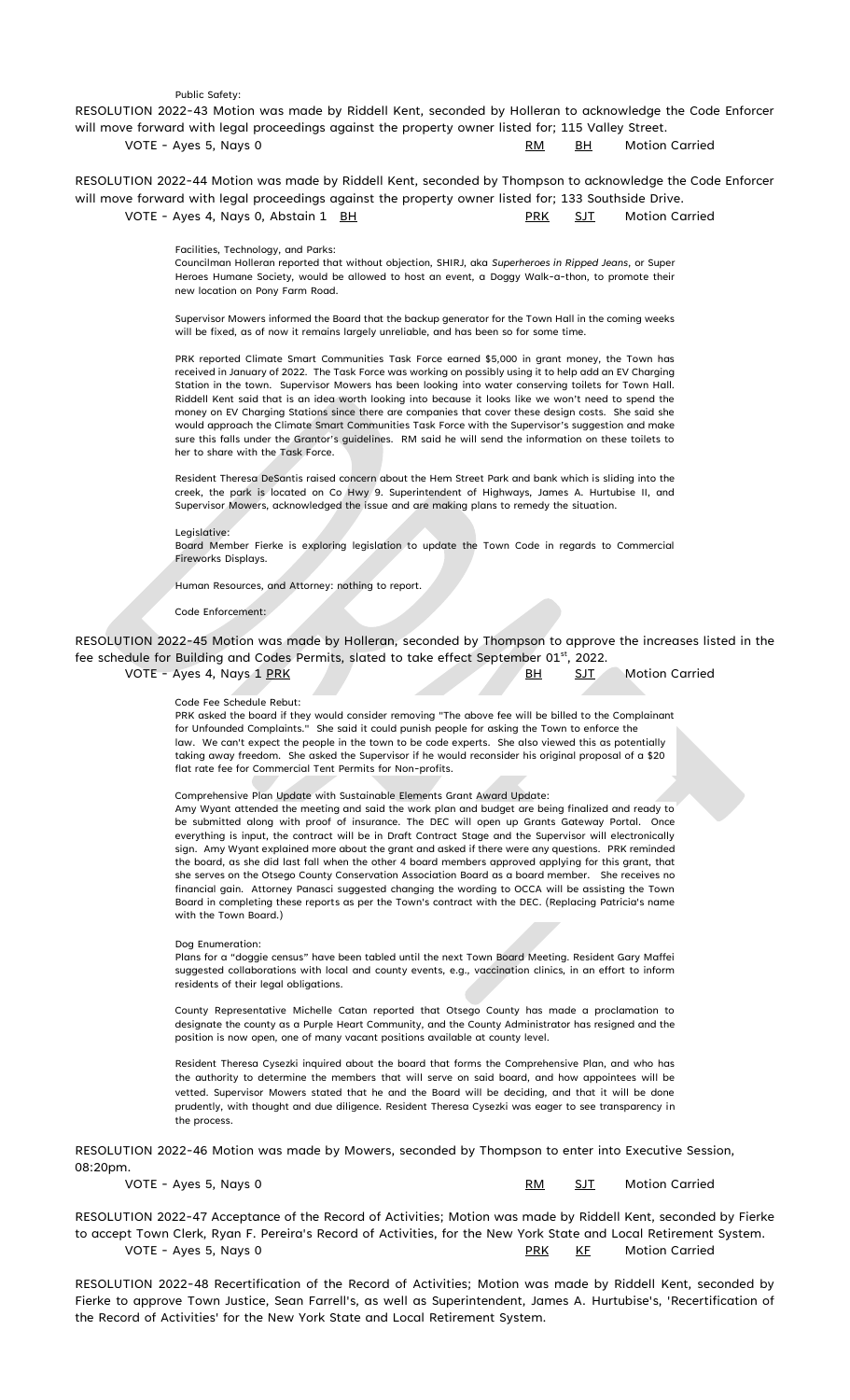Public Safety: RESOLUTION 2022-43 Motion was made by Riddell Kent, seconded by Holleran to acknowledge the Code Enforcer will move forward with legal proceedings against the property owner listed for; 115 Valley Street. VOTE - Ayes 5, Nays 0 **RM BH** Motion Carried

RESOLUTION 2022-44 Motion was made by Riddell Kent, seconded by Thompson to acknowledge the Code Enforcer will move forward with legal proceedings against the property owner listed for; 133 Southside Drive. VOTE - Ayes 4, Nays 0, Abstain 1 BH PRK SJT Motion Carried

Facilities, Technology, and Parks:

Councilman Holleran reported that without objection, SHIRJ, aka *Superheroes in Ripped Jeans*, or Super Heroes Humane Society, would be allowed to host an event, a Doggy Walk-a-thon, to promote their new location on Pony Farm Road.

Supervisor Mowers informed the Board that the backup generator for the Town Hall in the coming weeks will be fixed, as of now it remains largely unreliable, and has been so for some time.

PRK reported Climate Smart Communities Task Force earned \$5,000 in grant money, the Town has received in January of 2022. The Task Force was working on possibly using it to help add an EV Charging Station in the town. Supervisor Mowers has been looking into water conserving toilets for Town Hall. Riddell Kent said that is an idea worth looking into because it looks like we won't need to spend the money on EV Charging Stations since there are companies that cover these design costs. She said she would approach the Climate Smart Communities Task Force with the Supervisor's suggestion and make sure this falls under the Grantor's guidelines. RM said he will send the information on these toilets to her to share with the Task Force.

Resident Theresa DeSantis raised concern about the Hem Street Park and bank which is sliding into the creek, the park is located on Co Hwy 9. Superintendent of Highways, James A. Hurtubise II, and Supervisor Mowers, acknowledged the issue and are making plans to remedy the situation.

Legislative:

Board Member Fierke is exploring legislation to update the Town Code in regards to Commercial Fireworks Displays.

Human Resources, and Attorney: nothing to report.

Code Enforcement:

RESOLUTION 2022-45 Motion was made by Holleran, seconded by Thompson to approve the increases listed in the fee schedule for Building and Codes Permits, slated to take effect September 01<sup>st</sup>, 2022.

| VOTE - Ayes 4, Nays 1 <u>PRK</u> |  |  |  | Motion Carried |
|----------------------------------|--|--|--|----------------|
|                                  |  |  |  |                |

Code Fee Schedule Rebut:

PRK asked the board if they would consider removing "The above fee will be billed to the Complainant for Unfounded Complaints." She said it could punish people for asking the Town to enforce the law. We can't expect the people in the town to be code experts. She also viewed this as potentially taking away freedom. She asked the Supervisor if he would reconsider his original proposal of a \$20 flat rate fee for Commercial Tent Permits for Non-profits.

Comprehensive Plan Update with Sustainable Elements Grant Award Update:

Amy Wyant attended the meeting and said the work plan and budget are being finalized and ready to be submitted along with proof of insurance. The DEC will open up Grants Gateway Portal. Once everything is input, the contract will be in Draft Contract Stage and the Supervisor will electronically sign. Amy Wyant explained more about the grant and asked if there were any questions. PRK reminded the board, as she did last fall when the other 4 board members approved applying for this grant, that she serves on the Otsego County Conservation Association Board as a board member. She receives no financial gain. Attorney Panasci suggested changing the wording to OCCA will be assisting the Town Board in completing these reports as per the Town's contract with the DEC. (Replacing Patricia's name with the Town Board.)

Dog Enumeration:

Plans for a "doggie census" have been tabled until the next Town Board Meeting. Resident Gary Maffei suggested collaborations with local and county events, e.g., vaccination clinics, in an effort to inform residents of their legal obligations.

County Representative Michelle Catan reported that Otsego County has made a proclamation to designate the county as a Purple Heart Community, and the County Administrator has resigned and the position is now open, one of many vacant positions available at county level.

Resident Theresa Cysezki inquired about the board that forms the Comprehensive Plan, and who has the authority to determine the members that will serve on said board, and how appointees will be vetted. Supervisor Mowers stated that he and the Board will be deciding, and that it will be done prudently, with thought and due diligence. Resident Theresa Cysezki was eager to see transparency in the process.

RESOLUTION 2022-46 Motion was made by Mowers, seconded by Thompson to enter into Executive Session, 08:20pm.

VOTE - Ayes 5, Nays 0 **RM SIT** Motion Carried

RESOLUTION 2022-47 Acceptance of the Record of Activities; Motion was made by Riddell Kent, seconded by Fierke to accept Town Clerk, Ryan F. Pereira's Record of Activities, for the New York State and Local Retirement System. VOTE - Ayes 5, Nays 0 PRK KE Motion Carried

RESOLUTION 2022-48 Recertification of the Record of Activities; Motion was made by Riddell Kent, seconded by Fierke to approve Town Justice, Sean Farrell's, as well as Superintendent, James A. Hurtubise's, 'Recertification of the Record of Activities' for the New York State and Local Retirement System.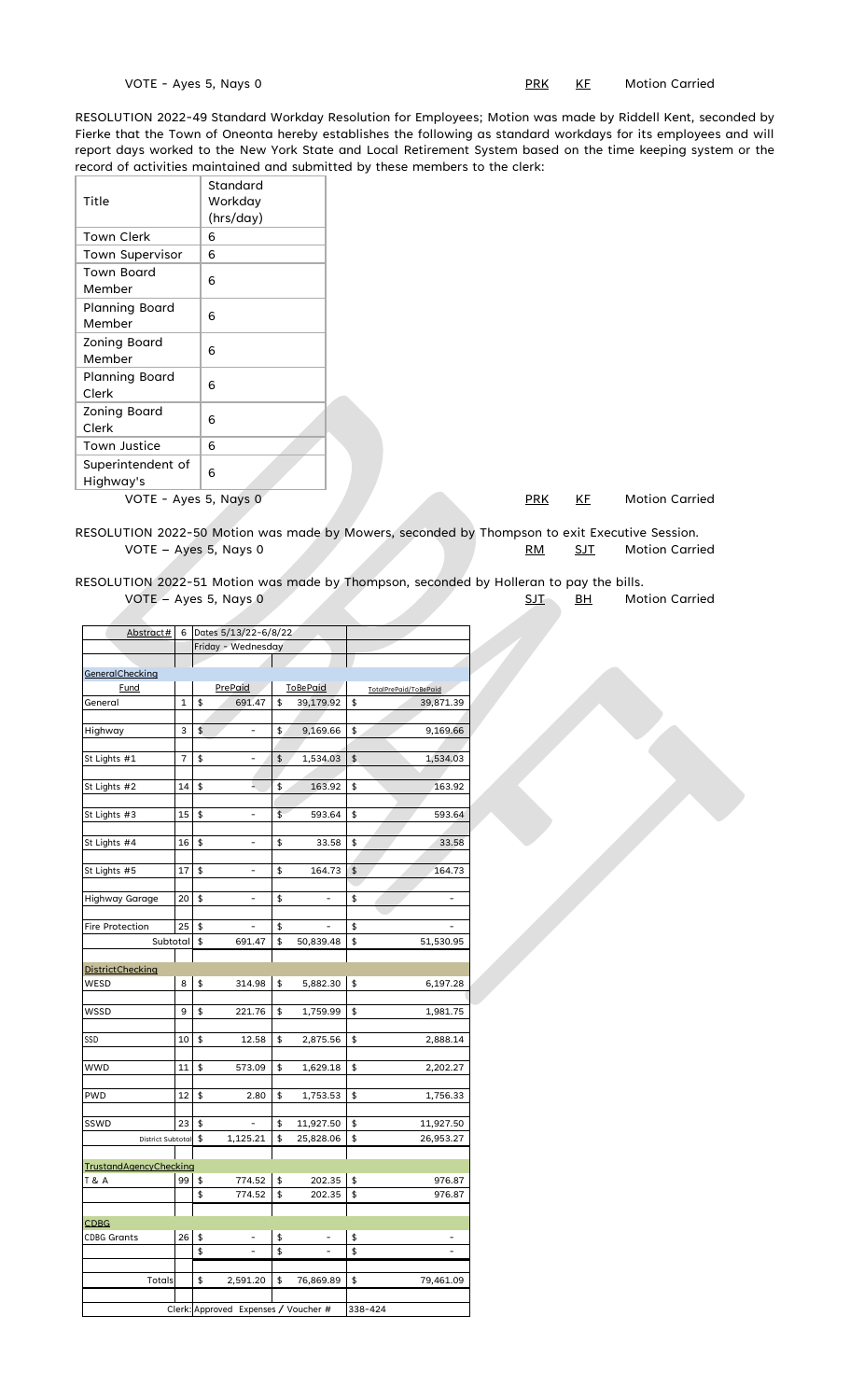VOTE - Ayes 5, Nays 0 PRK RF Motion Carried

RESOLUTION 2022-49 Standard Workday Resolution for Employees; Motion was made by Riddell Kent, seconded by Fierke that the Town of Oneonta hereby establishes the following as standard workdays for its employees and will report days worked to the New York State and Local Retirement System based on the time keeping system or the record of activities maintained and submitted by these members to the clerk:

|                                  | Standard  |  |            |
|----------------------------------|-----------|--|------------|
| Title                            | Workday   |  |            |
|                                  | (hrs/day) |  |            |
| Town Clerk                       | 6         |  |            |
| Town Supervisor                  | 6         |  |            |
| <b>Town Board</b>                | 6         |  |            |
| Member                           |           |  |            |
| <b>Planning Board</b>            | 6         |  |            |
| Member                           |           |  |            |
| <b>Zoning Board</b>              | 6         |  |            |
| Member                           |           |  |            |
| Planning Board                   | 6         |  |            |
| Clerk                            |           |  |            |
| <b>Zoning Board</b>              | 6         |  |            |
| Clerk                            |           |  |            |
| Town Justice                     | 6         |  |            |
| Superintendent of                | 6         |  |            |
| Highway's                        |           |  |            |
| $V$ OTF - $\Delta V$ es 5 Navs 0 |           |  | <b>DRK</b> |

KF Motion Carried

RESOLUTION 2022-50 Motion was made by Mowers, seconded by Thompson to exit Executive Session. VOTE – Ayes 5, Nays 0 RM RM SJT Motion Carried

RESOLUTION 2022-51 Motion was made by Thompson, seconded by Holleran to pay the bills.<br>VOTE – Ayes 5, Nays 0 VOTE – Ayes 5, Nays 0 SJT BH

|                               |              | Abstract# 6 Dates 5/13/22-6/8/22     |    |                          |    |                          |
|-------------------------------|--------------|--------------------------------------|----|--------------------------|----|--------------------------|
|                               |              | Friday - Wednesday                   |    |                          |    |                          |
|                               |              |                                      |    |                          |    |                          |
| GeneralChecking               |              |                                      |    |                          |    |                          |
| <b>Fund</b>                   |              | PrePaid                              |    | <b>ToBePaid</b>          |    | TotalPrePaid/ToBePaid    |
| General                       | $\mathbf{1}$ | \$<br>691.47                         | \$ | 39,179.92                | \$ | 39,871.39                |
|                               | 3            | \$<br>$\overline{\phantom{a}}$       | \$ | 9,169.66                 | \$ | 9,169.66                 |
| Highway                       |              |                                      |    |                          |    |                          |
| St Lights #1                  | 7            | \$<br>$\overline{\phantom{a}}$       | \$ | 1,534.03                 | \$ | 1,534.03                 |
|                               |              |                                      |    |                          |    |                          |
| St Lights #2                  | 14           | ц.<br>\$                             | \$ | 163.92                   | \$ | 163.92                   |
|                               |              |                                      |    |                          |    |                          |
| St Lights #3                  | 15           | \$<br>$\overline{\phantom{a}}$       | \$ | 593.64                   | \$ | 593.64                   |
|                               |              |                                      |    |                          |    |                          |
| St Lights #4                  | 16           | \$<br>$\overline{\phantom{0}}$       | \$ | 33.58                    | \$ | 33.58                    |
|                               |              |                                      |    |                          |    |                          |
| St Lights #5                  | 17           | \$<br>$\overline{\phantom{0}}$       | \$ | 164.73                   | \$ | 164.73                   |
| Highway Garage                | 20           | \$<br>$\overline{\phantom{0}}$       | \$ | $\overline{\phantom{a}}$ | \$ | $\overline{a}$           |
|                               |              |                                      |    |                          |    |                          |
| Fire Protection               | 25           | \$                                   | \$ |                          | \$ |                          |
| Subtotal                      |              | \$<br>691.47                         | \$ | 50,839.48                | \$ | 51,530.95                |
|                               |              |                                      |    |                          |    |                          |
| <b>DistrictChecking</b>       |              |                                      |    |                          |    |                          |
| WESD                          | 8            | \$<br>314.98                         | \$ | 5,882.30                 | \$ | 6,197.28                 |
|                               |              |                                      |    |                          |    |                          |
| WSSD                          | 9            | \$<br>221.76                         | \$ | 1,759.99                 | \$ | 1,981.75                 |
|                               |              |                                      |    |                          |    |                          |
| SSD                           | 10           | \$<br>12.58                          | \$ | 2,875.56                 | \$ | 2,888.14                 |
|                               | 11           |                                      |    |                          |    |                          |
| WWD                           |              | \$<br>573.09                         | \$ | 1,629.18                 | \$ | 2,202.27                 |
| PWD                           | 12           | \$<br>2.80                           | \$ | 1,753.53                 | \$ | 1,756.33                 |
|                               |              |                                      |    |                          |    |                          |
| SSWD                          | 23           | \$                                   | \$ | 11,927.50                | \$ | 11,927.50                |
| District Subtotal \$          |              | 1,125.21                             | \$ | 25,828.06                | \$ | 26,953.27                |
|                               |              |                                      |    |                          |    |                          |
| <b>TrustandAgencyChecking</b> |              |                                      |    |                          |    |                          |
| T & A                         | 99           | \$<br>774.52                         | \$ | 202.35                   | \$ | 976.87                   |
|                               |              | \$<br>774.52                         | \$ | 202.35                   | \$ | 976.87                   |
|                               |              |                                      |    |                          |    |                          |
| <b>CDBG</b>                   |              |                                      |    |                          |    |                          |
|                               | 26           | \$<br>\$<br>$\overline{\phantom{0}}$ | \$ |                          | \$ |                          |
| <b>CDBG Grants</b>            |              |                                      | \$ | $\overline{\phantom{0}}$ | \$ | $\overline{\phantom{0}}$ |
|                               |              |                                      |    |                          |    |                          |
| Totals                        |              | \$<br>2,591.20                       | \$ | 76,869.89                | \$ | 79,461.09                |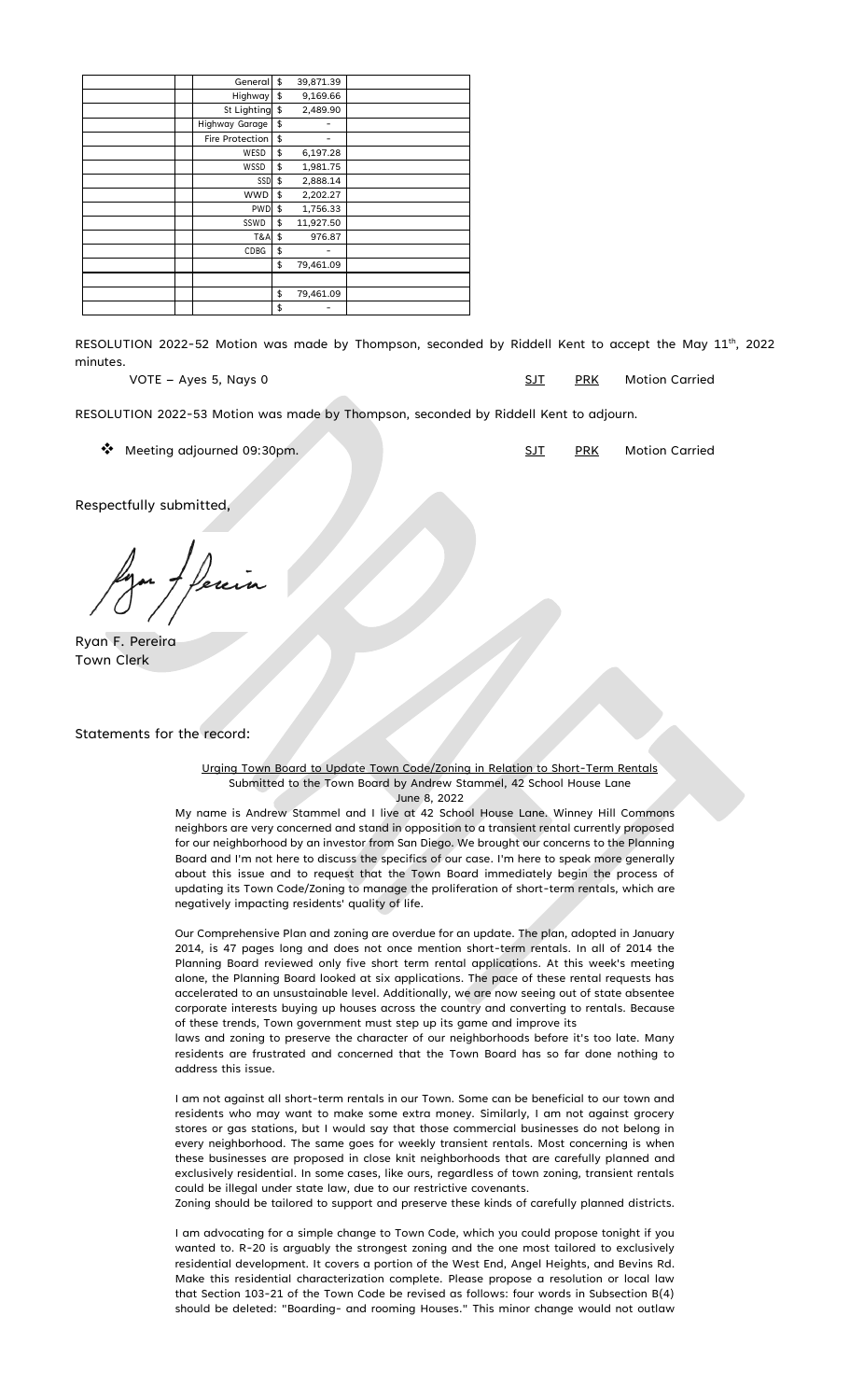| General         | \$<br>39,871.39 |  |
|-----------------|-----------------|--|
| Highway         | \$<br>9,169.66  |  |
| St Lighting \$  | 2,489.90        |  |
| Highway Garage  | \$              |  |
| Fire Protection | \$<br>-         |  |
| WESD            | \$<br>6,197.28  |  |
| WSSD            | \$<br>1,981.75  |  |
| <b>SSD</b>      | \$<br>2,888.14  |  |
| <b>WWD</b>      | \$<br>2,202.27  |  |
| <b>PWD</b>      | \$<br>1,756.33  |  |
| SSWD            | \$<br>11,927.50 |  |
| T&A             | \$<br>976.87    |  |
| CDBG            | \$              |  |
|                 | \$<br>79,461.09 |  |
|                 |                 |  |
|                 | \$<br>79,461.09 |  |
|                 | \$<br>-         |  |

RESOLUTION 2022-52 Motion was made by Thompson, seconded by Riddell Kent to accept the May 11<sup>th</sup>, 2022 minutes.

VOTE – Ayes 5, Nays 0 SUN Notion Carried COVE 2014

RESOLUTION 2022-53 Motion was made by Thompson, seconded by Riddell Kent to adjourn.

◆ Meeting adjourned 09:30pm. A Communication of the Summary of the Summary Motion Carried

Respectfully submitted,

Ryan F. Pereira Town Clerk

Statements for the record:

Urging Town Board to Update Town Code/Zoning in Relation to Short-Term Rentals Submitted to the Town Board by Andrew Stammel, 42 School House Lane June 8, 2022

My name is Andrew Stammel and I live at 42 School House Lane. Winney Hill Commons neighbors are very concerned and stand in opposition to a transient rental currently proposed for our neighborhood by an investor from San Diego. We brought our concerns to the Planning Board and I'm not here to discuss the specifics of our case. I'm here to speak more generally about this issue and to request that the Town Board immediately begin the process of updating its Town Code/Zoning to manage the proliferation of short-term rentals, which are negatively impacting residents' quality of life.

Our Comprehensive Plan and zoning are overdue for an update. The plan, adopted in January 2014, is 47 pages long and does not once mention short-term rentals. In all of 2014 the Planning Board reviewed only five short term rental applications. At this week's meeting alone, the Planning Board looked at six applications. The pace of these rental requests has accelerated to an unsustainable level. Additionally, we are now seeing out of state absentee corporate interests buying up houses across the country and converting to rentals. Because of these trends, Town government must step up its game and improve its

laws and zoning to preserve the character of our neighborhoods before it's too late. Many residents are frustrated and concerned that the Town Board has so far done nothing to address this issue.

I am not against all short-term rentals in our Town. Some can be beneficial to our town and residents who may want to make some extra money. Similarly, I am not against grocery stores or gas stations, but I would say that those commercial businesses do not belong in every neighborhood. The same goes for weekly transient rentals. Most concerning is when these businesses are proposed in close knit neighborhoods that are carefully planned and exclusively residential. In some cases, like ours, regardless of town zoning, transient rentals could be illegal under state law, due to our restrictive covenants.

Zoning should be tailored to support and preserve these kinds of carefully planned districts.

I am advocating for a simple change to Town Code, which you could propose tonight if you wanted to. R-20 is arguably the strongest zoning and the one most tailored to exclusively residential development. It covers a portion of the West End, Angel Heights, and Bevins Rd. Make this residential characterization complete. Please propose a resolution or local law that Section 103-21 of the Town Code be revised as follows: four words in Subsection B(4) should be deleted: "Boarding- and rooming Houses." This minor change would not outlaw